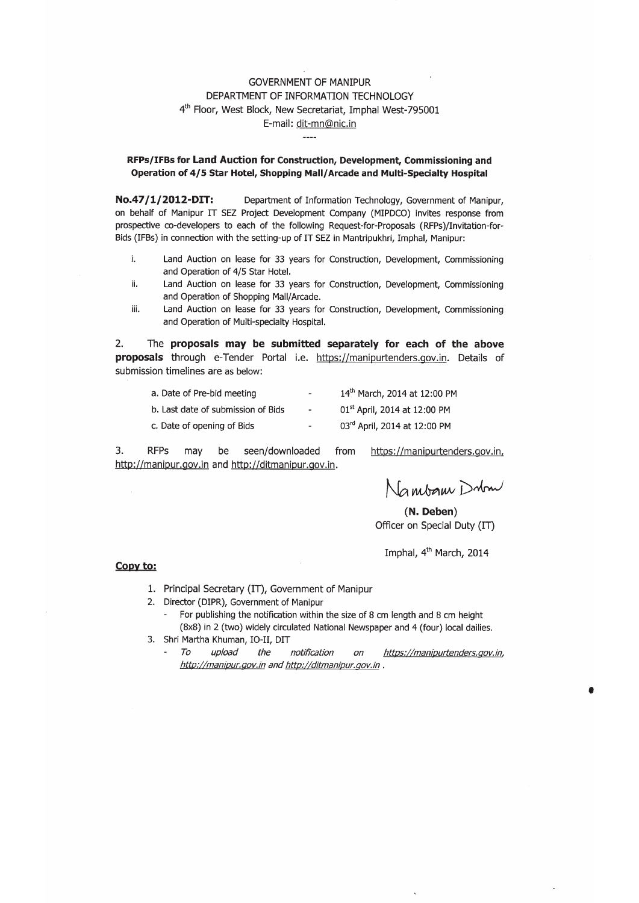### **GOVERNMENT OF MANIPUR** DEPARTMENT OF INFORMATION TECHNOLOGY 4th Floor, West Block, New Secretariat, Imphal West-795001 E-mail: dit-mn@nic.in

#### RFPs/IFBs for Land Auction for Construction, Development, Commissioning and Operation of 4/5 Star Hotel, Shopping Mall/Arcade and Multi-Specialty Hospital

Department of Information Technology, Government of Manipur, No.47/1/2012-DIT: on behalf of Manipur IT SEZ Project Development Company (MIPDCO) invites response from prospective co-developers to each of the following Request-for-Proposals (RFPs)/Invitation-for-Bids (IFBs) in connection with the setting-up of IT SEZ in Mantripukhri, Imphal, Manipur:

- j, Land Auction on lease for 33 years for Construction, Development, Commissioning and Operation of 4/5 Star Hotel.
- ii. Land Auction on lease for 33 years for Construction, Development, Commissioning and Operation of Shopping Mall/Arcade.
- Land Auction on lease for 33 years for Construction, Development, Commissioning iii. and Operation of Multi-specialty Hospital.

 $2.$ The proposals may be submitted separately for each of the above proposals through e-Tender Portal i.e. https://manipurtenders.gov.in. Details of submission timelines are as below:

| a. Date of Pre-bid meeting         | $\overline{\phantom{a}}$     | 14th March, 2014 at 12:00 PM             |
|------------------------------------|------------------------------|------------------------------------------|
| b. Last date of submission of Bids | $\overline{\phantom{a}}$     | 01 <sup>st</sup> April, 2014 at 12:00 PM |
| c. Date of opening of Bids         | $\qquad \qquad \blacksquare$ | 03rd April, 2014 at 12:00 PM             |

3. **RFPs** seen/downloaded may be from https://manipurtenders.gov.in, http://manipur.gov.in and http://ditmanipur.gov.in.

Nambam Dubm

(N. Deben) Officer on Special Duty (IT)

Imphal, 4<sup>th</sup> March, 2014

#### Copy to:

- 1. Principal Secretary (IT), Government of Manipur
- 2. Director (DIPR), Government of Manipur
	- For publishing the notification within the size of 8 cm length and 8 cm height (8x8) in 2 (two) widely circulated National Newspaper and 4 (four) local dailies.
- 3. Shri Martha Khuman, IO-II, DIT
	- To upload the notification on https://manipurtenders.gov.in,  $\overline{\phantom{a}}$ http://manipur.gov.in and http://ditmanipur.gov.in.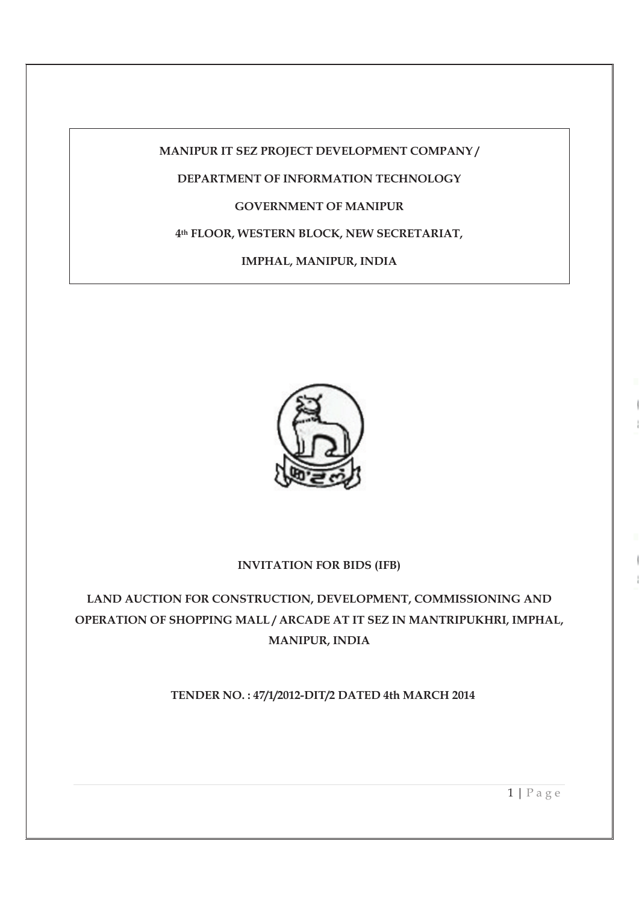**MANIPUR IT SEZ PROJECT DEVELOPMENT COMPANY /** 

## **DEPARTMENT OF INFORMATION TECHNOLOGY**

## **GOVERNMENT OF MANIPUR**

## **4th FLOOR, WESTERN BLOCK, NEW SECRETARIAT,**

**IMPHAL, MANIPUR, INDIA** 



### **INVITATION FOR BIDS (IFB)**

**LAND AUCTION FOR CONSTRUCTION, DEVELOPMENT, COMMISSIONING AND OPERATION OF SHOPPING MALL / ARCADE AT IT SEZ IN MANTRIPUKHRI, IMPHAL, MANIPUR, INDIA** 

**TENDER NO. : 47/1/2012-DIT/2 DATED 4th MARCH 2014** 

 $1 | P$  a g e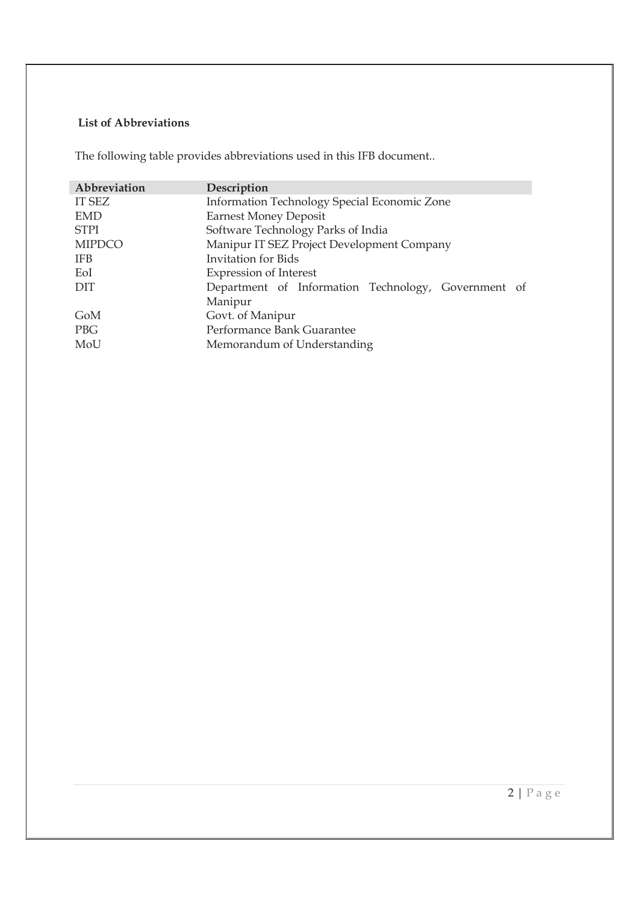# **List of Abbreviations**

The following table provides abbreviations used in this IFB document..

| Abbreviation  | Description                                         |  |  |
|---------------|-----------------------------------------------------|--|--|
| <b>IT SEZ</b> | Information Technology Special Economic Zone        |  |  |
| <b>EMD</b>    | <b>Earnest Money Deposit</b>                        |  |  |
| <b>STPI</b>   | Software Technology Parks of India                  |  |  |
| <b>MIPDCO</b> | Manipur IT SEZ Project Development Company          |  |  |
| <b>IFB</b>    | <b>Invitation</b> for Bids                          |  |  |
| EoI           | <b>Expression of Interest</b>                       |  |  |
| DIT           | Department of Information Technology, Government of |  |  |
|               | Manipur                                             |  |  |
| GoM           | Govt. of Manipur                                    |  |  |
| <b>PBG</b>    | Performance Bank Guarantee                          |  |  |
| MoU           | Memorandum of Understanding                         |  |  |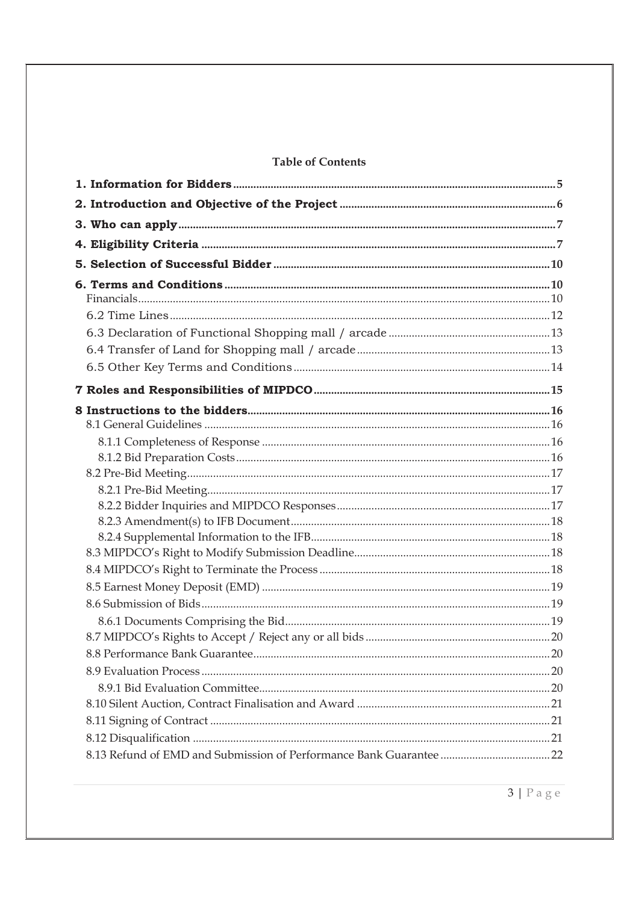## **Table of Contents**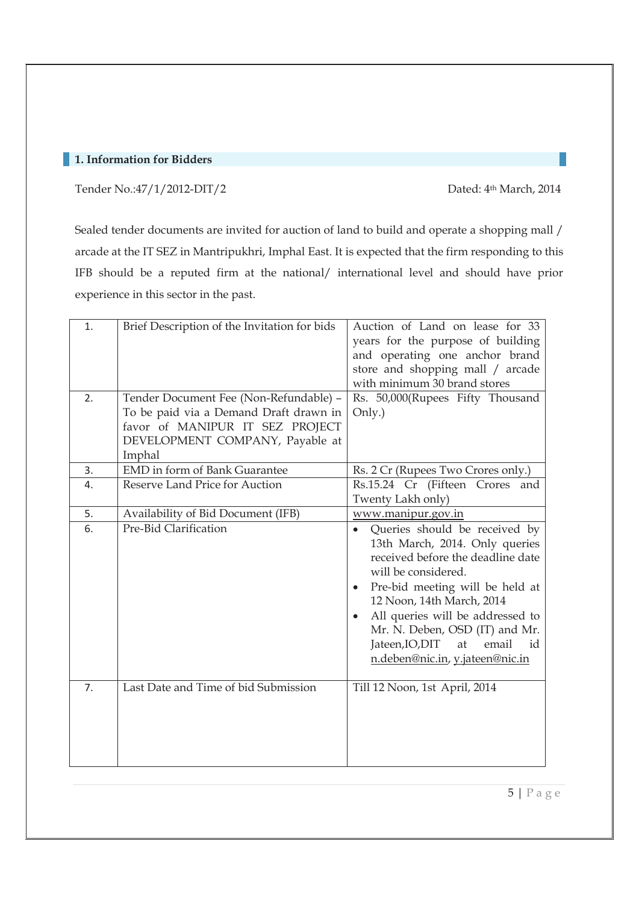## **1. Information for Bidders**

Tender No.:47/1/2012-DIT/2 Dated: 4<sup>th</sup> March, 2014

Sealed tender documents are invited for auction of land to build and operate a shopping mall / arcade at the IT SEZ in Mantripukhri, Imphal East. It is expected that the firm responding to this IFB should be a reputed firm at the national/ international level and should have prior experience in this sector in the past.

| 1.<br>2. | Brief Description of the Invitation for bids<br>Tender Document Fee (Non-Refundable) -                                 | Auction of Land on lease for 33<br>years for the purpose of building<br>and operating one anchor brand<br>store and shopping mall / arcade<br>with minimum 30 brand stores<br>Rs. 50,000(Rupees Fifty Thousand                                                                                                                                            |
|----------|------------------------------------------------------------------------------------------------------------------------|-----------------------------------------------------------------------------------------------------------------------------------------------------------------------------------------------------------------------------------------------------------------------------------------------------------------------------------------------------------|
|          | To be paid via a Demand Draft drawn in<br>favor of MANIPUR IT SEZ PROJECT<br>DEVELOPMENT COMPANY, Payable at<br>Imphal | Only.)                                                                                                                                                                                                                                                                                                                                                    |
| 3.       | <b>EMD</b> in form of Bank Guarantee                                                                                   | Rs. 2 Cr (Rupees Two Crores only.)                                                                                                                                                                                                                                                                                                                        |
| 4.       | Reserve Land Price for Auction                                                                                         | Rs.15.24 Cr (Fifteen Crores and<br>Twenty Lakh only)                                                                                                                                                                                                                                                                                                      |
| 5.       | Availability of Bid Document (IFB)                                                                                     | www.manipur.gov.in                                                                                                                                                                                                                                                                                                                                        |
| 6.       | Pre-Bid Clarification                                                                                                  | Queries should be received by<br>13th March, 2014. Only queries<br>received before the deadline date<br>will be considered.<br>Pre-bid meeting will be held at<br>12 Noon, 14th March, 2014<br>All queries will be addressed to<br>$\bullet$<br>Mr. N. Deben, OSD (IT) and Mr.<br>Jateen, IO, DIT<br>at<br>email<br>id<br>n.deben@nic.in, y.jateen@nic.in |
| 7.       | Last Date and Time of bid Submission                                                                                   | Till 12 Noon, 1st April, 2014                                                                                                                                                                                                                                                                                                                             |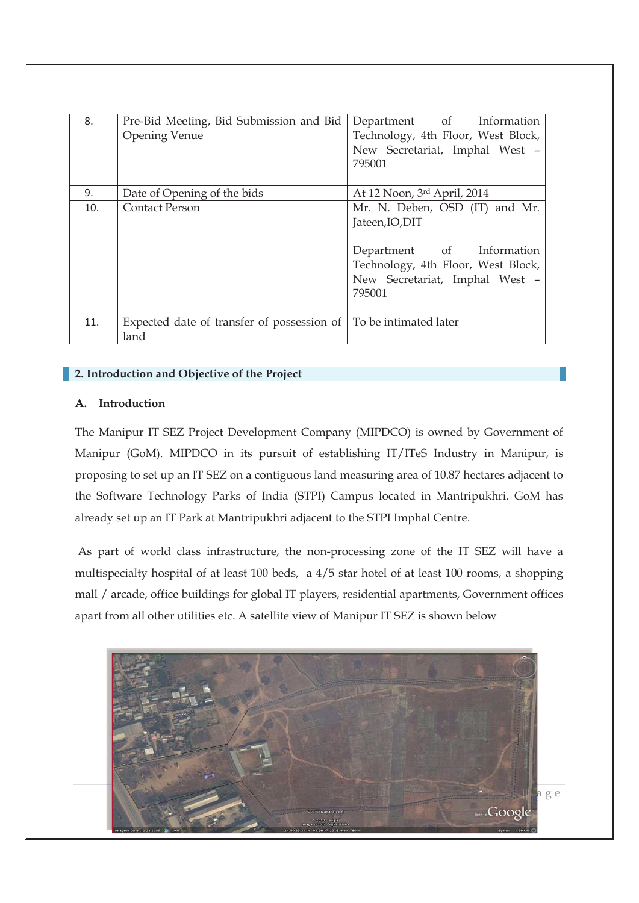| 8.  | Pre-Bid Meeting, Bid Submission and Bid<br><b>Opening Venue</b> | Department of Information<br>Technology, 4th Floor, West Block,<br>New Secretariat, Imphal West -<br>795001                                                      |
|-----|-----------------------------------------------------------------|------------------------------------------------------------------------------------------------------------------------------------------------------------------|
| 9.  | Date of Opening of the bids                                     | At 12 Noon, 3rd April, 2014                                                                                                                                      |
| 10. | <b>Contact Person</b>                                           | Mr. N. Deben, OSD (IT) and Mr.<br>Jateen, IO, DIT<br>Department of Information<br>Technology, 4th Floor, West Block,<br>New Secretariat, Imphal West -<br>795001 |
| 11. | Expected date of transfer of possession of<br>land              | To be intimated later                                                                                                                                            |

## **2. Introduction and Objective of the Project**

### **A. Introduction**

The Manipur IT SEZ Project Development Company (MIPDCO) is owned by Government of Manipur (GoM). MIPDCO in its pursuit of establishing IT/ITeS Industry in Manipur, is proposing to set up an IT SEZ on a contiguous land measuring area of 10.87 hectares adjacent to the Software Technology Parks of India (STPI) Campus located in Mantripukhri. GoM has already set up an IT Park at Mantripukhri adjacent to the STPI Imphal Centre.

 As part of world class infrastructure, the non-processing zone of the IT SEZ will have a multispecialty hospital of at least 100 beds, a 4/5 star hotel of at least 100 rooms, a shopping mall / arcade, office buildings for global IT players, residential apartments, Government offices apart from all other utilities etc. A satellite view of Manipur IT SEZ is shown below

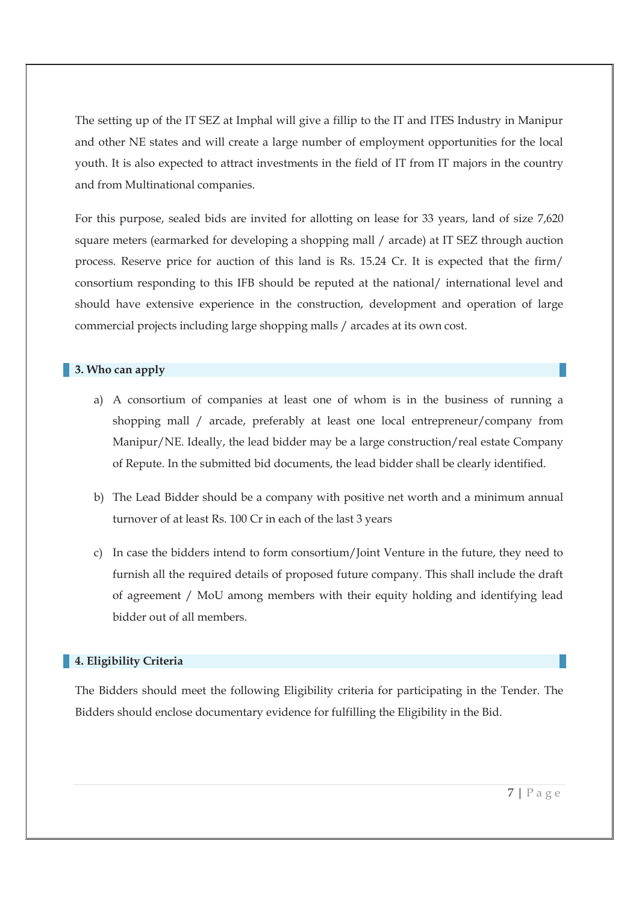The setting up of the IT SEZ at Imphal will give a fillip to the IT and ITES Industry in Manipur and other NE states and will create a large number of employment opportunities for the local youth. It is also expected to attract investments in the field of IT from IT majors in the country and from Multinational companies.

For this purpose, sealed bids are invited for allotting on lease for 33 years, land of size 7,620 square meters (earmarked for developing a shopping mall / arcade) at IT SEZ through auction process. Reserve price for auction of this land is Rs. 15.24 Cr. It is expected that the firm/ consortium responding to this IFB should be reputed at the national/ international level and should have extensive experience in the construction, development and operation of large commercial projects including large shopping malls / arcades at its own cost.

### **3. Who can apply**

- a) A consortium of companies at least one of whom is in the business of running a shopping mall / arcade, preferably at least one local entrepreneur/company from Manipur/NE. Ideally, the lead bidder may be a large construction/real estate Company of Repute. In the submitted bid documents, the lead bidder shall be clearly identified.
- b) The Lead Bidder should be a company with positive net worth and a minimum annual turnover of at least Rs. 100 Cr in each of the last 3 years
- c) In case the bidders intend to form consortium/Joint Venture in the future, they need to furnish all the required details of proposed future company. This shall include the draft of agreement / MoU among members with their equity holding and identifying lead bidder out of all members.

#### **4. Eligibility Criteria**

The Bidders should meet the following Eligibility criteria for participating in the Tender. The Bidders should enclose documentary evidence for fulfilling the Eligibility in the Bid.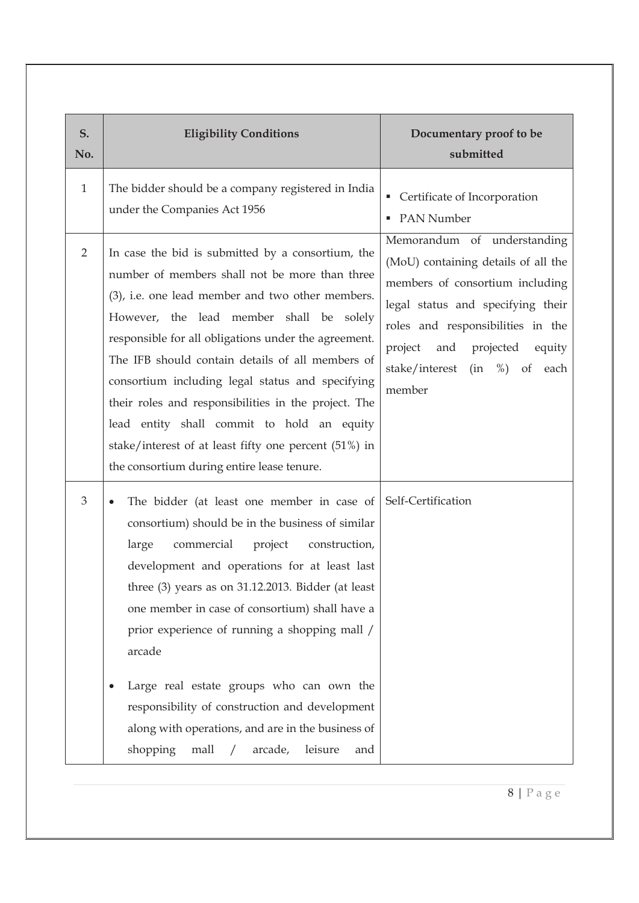| S.<br>No.      | <b>Eligibility Conditions</b>                                                                                                                                                                                                                                                                                                                                                                                                                                                                                                                                                                       | Documentary proof to be<br>submitted                                                                                                                                                                                                                          |  |
|----------------|-----------------------------------------------------------------------------------------------------------------------------------------------------------------------------------------------------------------------------------------------------------------------------------------------------------------------------------------------------------------------------------------------------------------------------------------------------------------------------------------------------------------------------------------------------------------------------------------------------|---------------------------------------------------------------------------------------------------------------------------------------------------------------------------------------------------------------------------------------------------------------|--|
| $\mathbf{1}$   | The bidder should be a company registered in India<br>under the Companies Act 1956                                                                                                                                                                                                                                                                                                                                                                                                                                                                                                                  | Certificate of Incorporation<br>ш<br>• PAN Number                                                                                                                                                                                                             |  |
| $\overline{2}$ | In case the bid is submitted by a consortium, the<br>number of members shall not be more than three<br>(3), i.e. one lead member and two other members.<br>However, the lead member shall be solely<br>responsible for all obligations under the agreement.<br>The IFB should contain details of all members of<br>consortium including legal status and specifying<br>their roles and responsibilities in the project. The<br>lead entity shall commit to hold an equity<br>stake/interest of at least fifty one percent (51%) in<br>the consortium during entire lease tenure.                    | Memorandum of understanding<br>(MoU) containing details of all the<br>members of consortium including<br>legal status and specifying their<br>roles and responsibilities in the<br>project and projected<br>equity<br>stake/interest (in %) of each<br>member |  |
| 3              | The bidder (at least one member in case of<br>consortium) should be in the business of similar<br>large<br>commercial<br>project<br>construction,<br>development and operations for at least last<br>three (3) years as on 31.12.2013. Bidder (at least<br>one member in case of consortium) shall have a<br>prior experience of running a shopping mall /<br>arcade<br>Large real estate groups who can own the<br>$\bullet$<br>responsibility of construction and development<br>along with operations, and are in the business of<br>shopping<br>leisure<br>mall<br>arcade,<br>$\sqrt{2}$<br>and | Self-Certification                                                                                                                                                                                                                                            |  |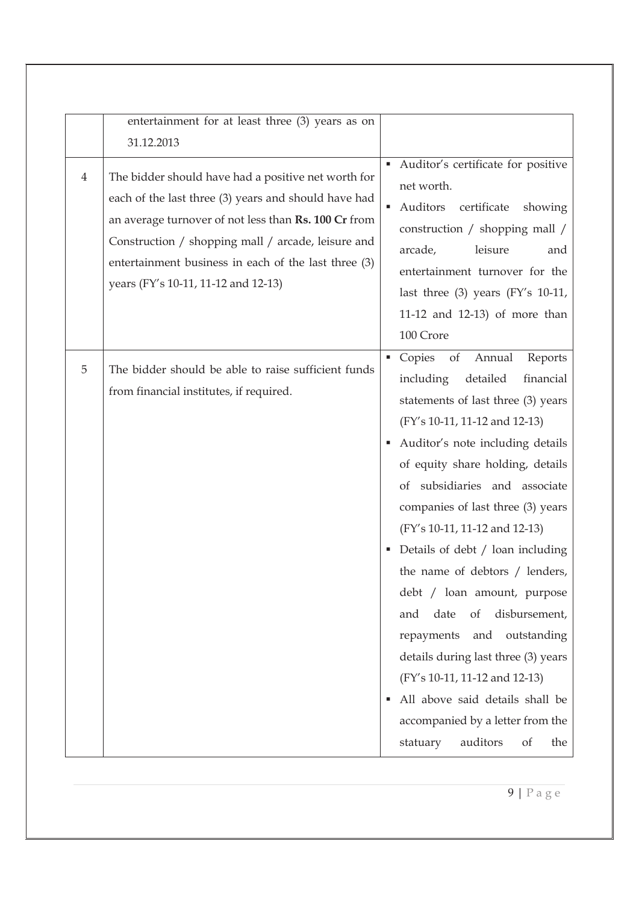|                | entertainment for at least three (3) years as on                                                                                                                                                                                                                                                                         |                                                                                                                                                                                                                                                                                                                                                                                                                                                                                                                                                                                                                                                                                                                |
|----------------|--------------------------------------------------------------------------------------------------------------------------------------------------------------------------------------------------------------------------------------------------------------------------------------------------------------------------|----------------------------------------------------------------------------------------------------------------------------------------------------------------------------------------------------------------------------------------------------------------------------------------------------------------------------------------------------------------------------------------------------------------------------------------------------------------------------------------------------------------------------------------------------------------------------------------------------------------------------------------------------------------------------------------------------------------|
|                | 31.12.2013                                                                                                                                                                                                                                                                                                               |                                                                                                                                                                                                                                                                                                                                                                                                                                                                                                                                                                                                                                                                                                                |
| $\overline{4}$ | The bidder should have had a positive net worth for<br>each of the last three (3) years and should have had<br>an average turnover of not less than Rs. 100 Cr from<br>Construction / shopping mall / arcade, leisure and<br>entertainment business in each of the last three (3)<br>years (FY's 10-11, 11-12 and 12-13) | Auditor's certificate for positive<br>٠<br>net worth.<br>Auditors<br>certificate<br>showing<br>٠<br>construction / shopping mall /<br>arcade,<br>leisure<br>and<br>entertainment turnover for the<br>last three $(3)$ years $(FY's 10-11,$<br>11-12 and 12-13) of more than<br>100 Crore                                                                                                                                                                                                                                                                                                                                                                                                                       |
| 5              | The bidder should be able to raise sufficient funds<br>from financial institutes, if required.                                                                                                                                                                                                                           | • Copies of<br>Annual<br>Reports<br>including<br>detailed<br>financial<br>statements of last three (3) years<br>(FY's 10-11, 11-12 and 12-13)<br>Auditor's note including details<br>٠<br>of equity share holding, details<br>of subsidiaries and associate<br>companies of last three (3) years<br>(FY's 10-11, 11-12 and 12-13)<br>Details of debt / loan including<br>٠<br>the name of debtors / lenders,<br>debt / loan amount, purpose<br>disbursement,<br>date<br>of<br>and<br>repayments<br>outstanding<br>and<br>details during last three (3) years<br>(FY's 10-11, 11-12 and 12-13)<br>All above said details shall be<br>٠<br>accompanied by a letter from the<br>auditors<br>of<br>the<br>statuary |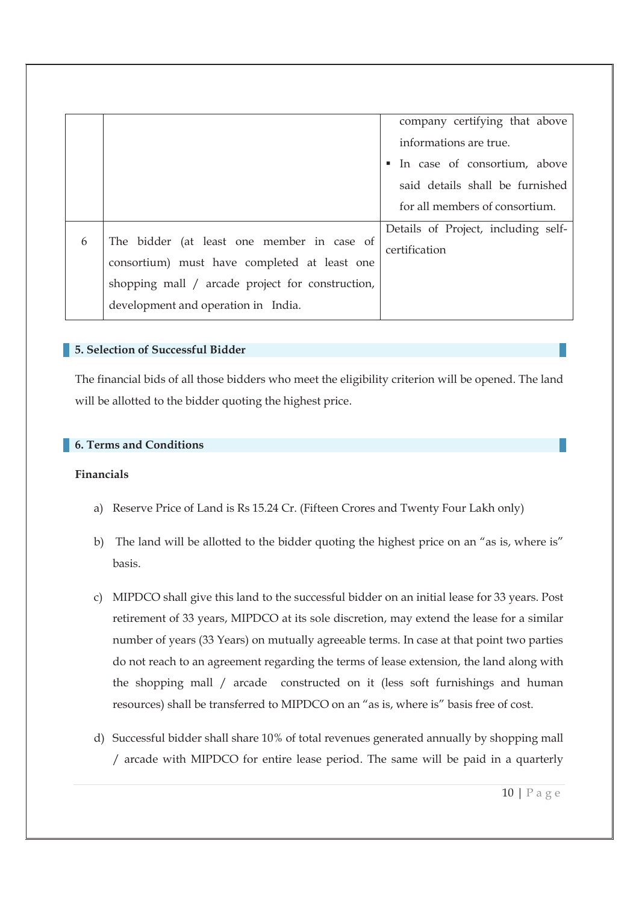| company certifying that above       |
|-------------------------------------|
|                                     |
| In case of consortium, above        |
| said details shall be furnished     |
| for all members of consortium.      |
| Details of Project, including self- |
|                                     |
|                                     |
|                                     |
|                                     |
|                                     |

#### **5. Selection of Successful Bidder**

The financial bids of all those bidders who meet the eligibility criterion will be opened. The land will be allotted to the bidder quoting the highest price.

#### **6. Terms and Conditions**

#### **Financials**

- a) Reserve Price of Land is Rs 15.24 Cr. (Fifteen Crores and Twenty Four Lakh only)
- b) The land will be allotted to the bidder quoting the highest price on an "as is, where is" basis.
- c) MIPDCO shall give this land to the successful bidder on an initial lease for 33 years. Post retirement of 33 years, MIPDCO at its sole discretion, may extend the lease for a similar number of years (33 Years) on mutually agreeable terms. In case at that point two parties do not reach to an agreement regarding the terms of lease extension, the land along with the shopping mall / arcade constructed on it (less soft furnishings and human resources) shall be transferred to MIPDCO on an "as is, where is" basis free of cost.
- d) Successful bidder shall share 10% of total revenues generated annually by shopping mall / arcade with MIPDCO for entire lease period. The same will be paid in a quarterly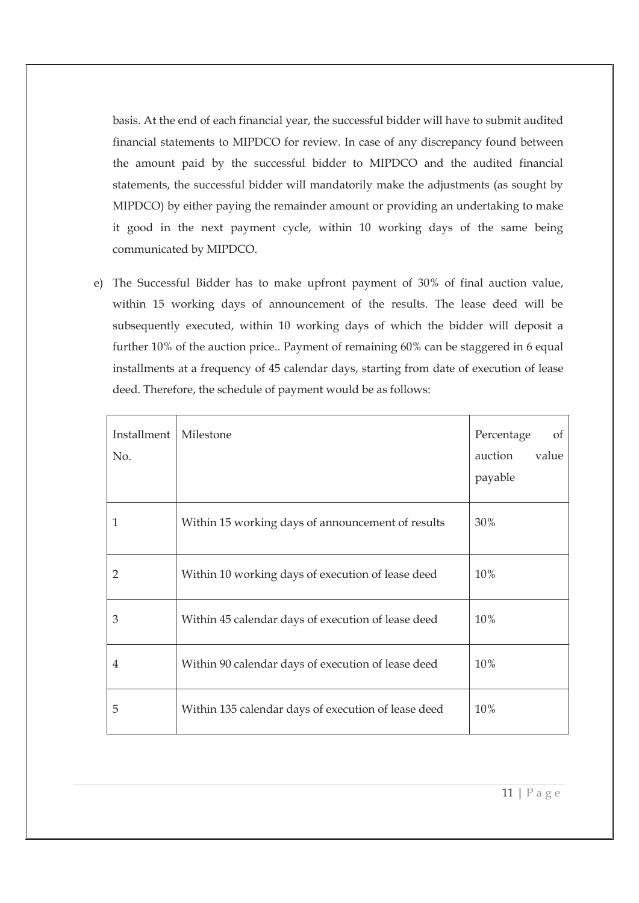basis. At the end of each financial year, the successful bidder will have to submit audited financial statements to MIPDCO for review. In case of any discrepancy found between the amount paid by the successful bidder to MIPDCO and the audited financial statements, the successful bidder will mandatorily make the adjustments (as sought by MIPDCO) by either paying the remainder amount or providing an undertaking to make it good in the next payment cycle, within 10 working days of the same being communicated by MIPDCO.

e) The Successful Bidder has to make upfront payment of 30% of final auction value, within 15 working days of announcement of the results. The lease deed will be subsequently executed, within 10 working days of which the bidder will deposit a further 10% of the auction price.. Payment of remaining 60% can be staggered in 6 equal installments at a frequency of 45 calendar days, starting from date of execution of lease deed. Therefore, the schedule of payment would be as follows:

| Installment<br>No. | Milestone                                           | Percentage<br>of<br>value<br>auction<br>payable |
|--------------------|-----------------------------------------------------|-------------------------------------------------|
| 1                  | Within 15 working days of announcement of results   | 30%                                             |
| $\overline{2}$     | Within 10 working days of execution of lease deed   | 10%                                             |
| 3                  | Within 45 calendar days of execution of lease deed  | 10%                                             |
| 4                  | Within 90 calendar days of execution of lease deed  | 10%                                             |
| 5                  | Within 135 calendar days of execution of lease deed | 10%                                             |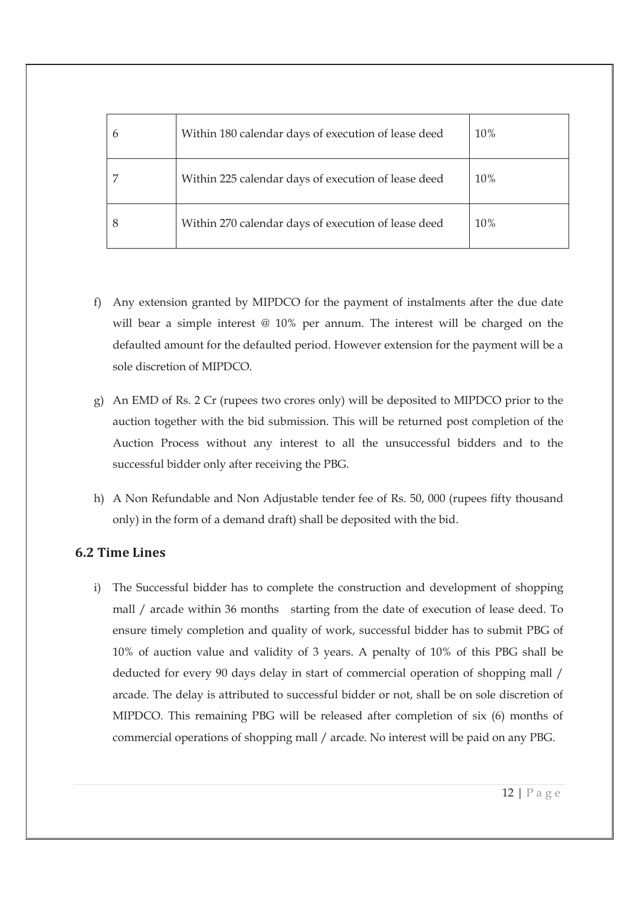| Within 180 calendar days of execution of lease deed | 10% |
|-----------------------------------------------------|-----|
| Within 225 calendar days of execution of lease deed | 10% |
| Within 270 calendar days of execution of lease deed | 10% |

- f) Any extension granted by MIPDCO for the payment of instalments after the due date will bear a simple interest @ 10% per annum. The interest will be charged on the defaulted amount for the defaulted period. However extension for the payment will be a sole discretion of MIPDCO.
- g) An EMD of Rs. 2 Cr (rupees two crores only) will be deposited to MIPDCO prior to the auction together with the bid submission. This will be returned post completion of the Auction Process without any interest to all the unsuccessful bidders and to the successful bidder only after receiving the PBG.
- h) A Non Refundable and Non Adjustable tender fee of Rs. 50, 000 (rupees fifty thousand only) in the form of a demand draft) shall be deposited with the bid.

## **6.2 Time Lines**

i) The Successful bidder has to complete the construction and development of shopping mall / arcade within 36 months starting from the date of execution of lease deed. To ensure timely completion and quality of work, successful bidder has to submit PBG of 10% of auction value and validity of 3 years. A penalty of 10% of this PBG shall be deducted for every 90 days delay in start of commercial operation of shopping mall / arcade. The delay is attributed to successful bidder or not, shall be on sole discretion of MIPDCO. This remaining PBG will be released after completion of six (6) months of commercial operations of shopping mall / arcade. No interest will be paid on any PBG.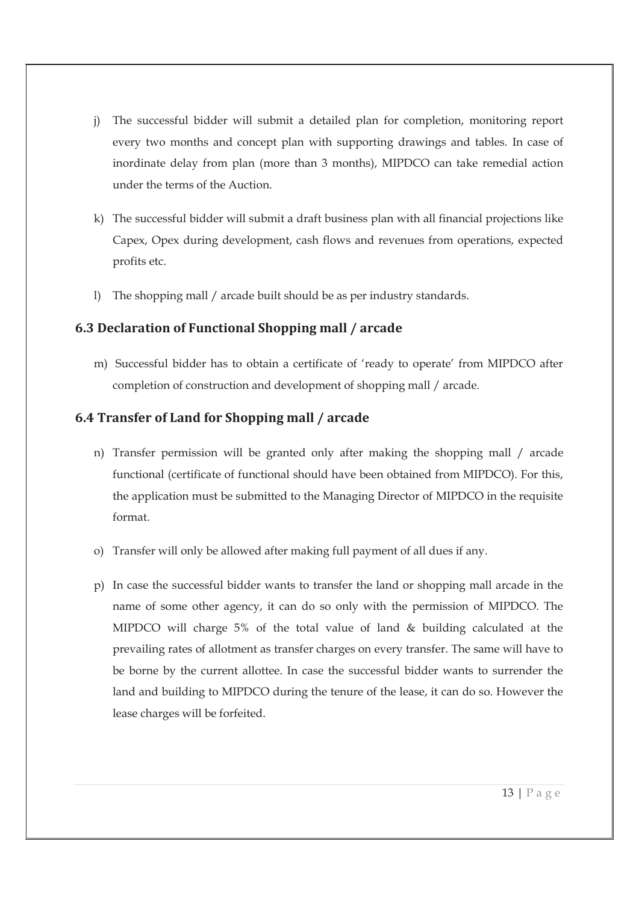- j) The successful bidder will submit a detailed plan for completion, monitoring report every two months and concept plan with supporting drawings and tables. In case of inordinate delay from plan (more than 3 months), MIPDCO can take remedial action under the terms of the Auction.
- k) The successful bidder will submit a draft business plan with all financial projections like Capex, Opex during development, cash flows and revenues from operations, expected profits etc.
- l) The shopping mall / arcade built should be as per industry standards.

## **6.3 Declaration of Functional Shopping mall / arcade**

m) Successful bidder has to obtain a certificate of 'ready to operate' from MIPDCO after completion of construction and development of shopping mall / arcade.

## **6.4 Transfer of Land for Shopping mall / arcade**

- n) Transfer permission will be granted only after making the shopping mall / arcade functional (certificate of functional should have been obtained from MIPDCO). For this, the application must be submitted to the Managing Director of MIPDCO in the requisite format.
- o) Transfer will only be allowed after making full payment of all dues if any.
- p) In case the successful bidder wants to transfer the land or shopping mall arcade in the name of some other agency, it can do so only with the permission of MIPDCO. The MIPDCO will charge 5% of the total value of land & building calculated at the prevailing rates of allotment as transfer charges on every transfer. The same will have to be borne by the current allottee. In case the successful bidder wants to surrender the land and building to MIPDCO during the tenure of the lease, it can do so. However the lease charges will be forfeited.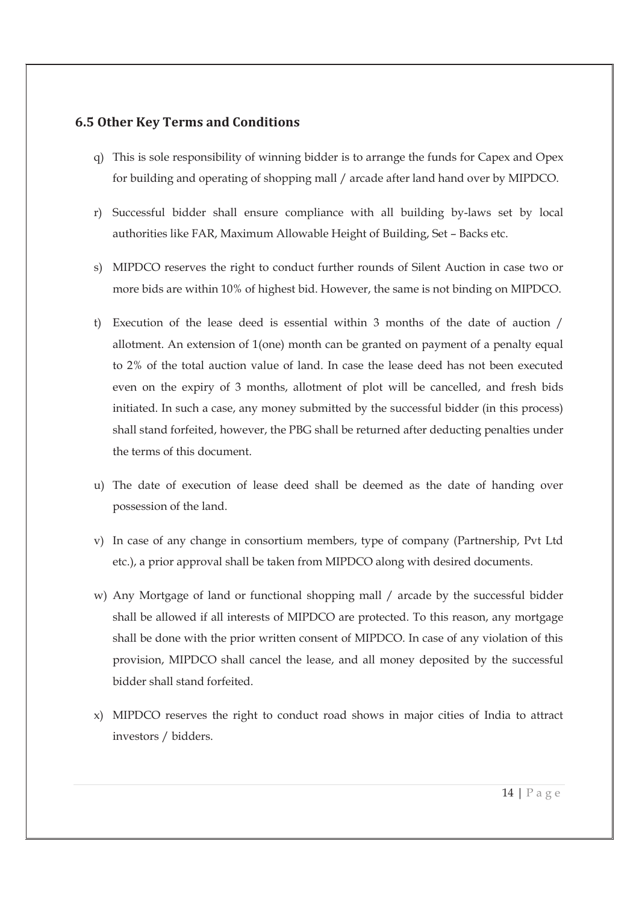## **6.5 Other Key Terms and Conditions**

- q) This is sole responsibility of winning bidder is to arrange the funds for Capex and Opex for building and operating of shopping mall / arcade after land hand over by MIPDCO.
- r) Successful bidder shall ensure compliance with all building by-laws set by local authorities like FAR, Maximum Allowable Height of Building, Set – Backs etc.
- s) MIPDCO reserves the right to conduct further rounds of Silent Auction in case two or more bids are within 10% of highest bid. However, the same is not binding on MIPDCO.
- t) Execution of the lease deed is essential within 3 months of the date of auction / allotment. An extension of 1(one) month can be granted on payment of a penalty equal to 2% of the total auction value of land. In case the lease deed has not been executed even on the expiry of 3 months, allotment of plot will be cancelled, and fresh bids initiated. In such a case, any money submitted by the successful bidder (in this process) shall stand forfeited, however, the PBG shall be returned after deducting penalties under the terms of this document.
- u) The date of execution of lease deed shall be deemed as the date of handing over possession of the land.
- v) In case of any change in consortium members, type of company (Partnership, Pvt Ltd etc.), a prior approval shall be taken from MIPDCO along with desired documents.
- w) Any Mortgage of land or functional shopping mall / arcade by the successful bidder shall be allowed if all interests of MIPDCO are protected. To this reason, any mortgage shall be done with the prior written consent of MIPDCO. In case of any violation of this provision, MIPDCO shall cancel the lease, and all money deposited by the successful bidder shall stand forfeited.
- x) MIPDCO reserves the right to conduct road shows in major cities of India to attract investors / bidders.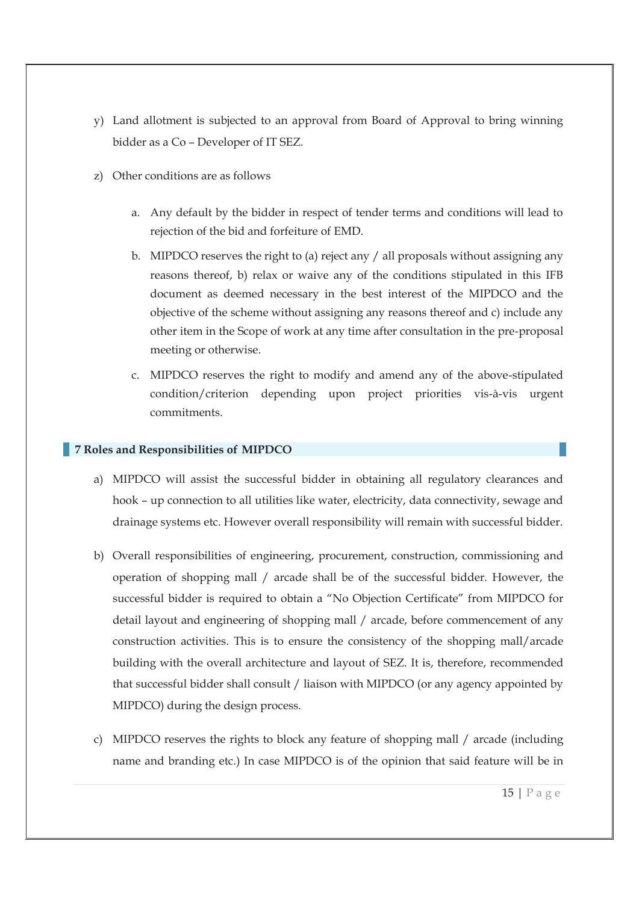- y) Land allotment is subjected to an approval from Board of Approval to bring winning bidder as a Co – Developer of IT SEZ.
- z) Other conditions are as follows
	- a. Any default by the bidder in respect of tender terms and conditions will lead to rejection of the bid and forfeiture of EMD.
	- b. MIPDCO reserves the right to (a) reject any / all proposals without assigning any reasons thereof, b) relax or waive any of the conditions stipulated in this IFB document as deemed necessary in the best interest of the MIPDCO and the objective of the scheme without assigning any reasons thereof and c) include any other item in the Scope of work at any time after consultation in the pre-proposal meeting or otherwise.
	- c. MIPDCO reserves the right to modify and amend any of the above-stipulated condition/criterion depending upon project priorities vis-à-vis urgent commitments.

### **7 Roles and Responsibilities of MIPDCO**

- a) MIPDCO will assist the successful bidder in obtaining all regulatory clearances and hook – up connection to all utilities like water, electricity, data connectivity, sewage and drainage systems etc. However overall responsibility will remain with successful bidder.
- b) Overall responsibilities of engineering, procurement, construction, commissioning and operation of shopping mall / arcade shall be of the successful bidder. However, the successful bidder is required to obtain a "No Objection Certificate" from MIPDCO for detail layout and engineering of shopping mall / arcade, before commencement of any construction activities. This is to ensure the consistency of the shopping mall/arcade building with the overall architecture and layout of SEZ. It is, therefore, recommended that successful bidder shall consult / liaison with MIPDCO (or any agency appointed by MIPDCO) during the design process.
- c) MIPDCO reserves the rights to block any feature of shopping mall / arcade (including name and branding etc.) In case MIPDCO is of the opinion that said feature will be in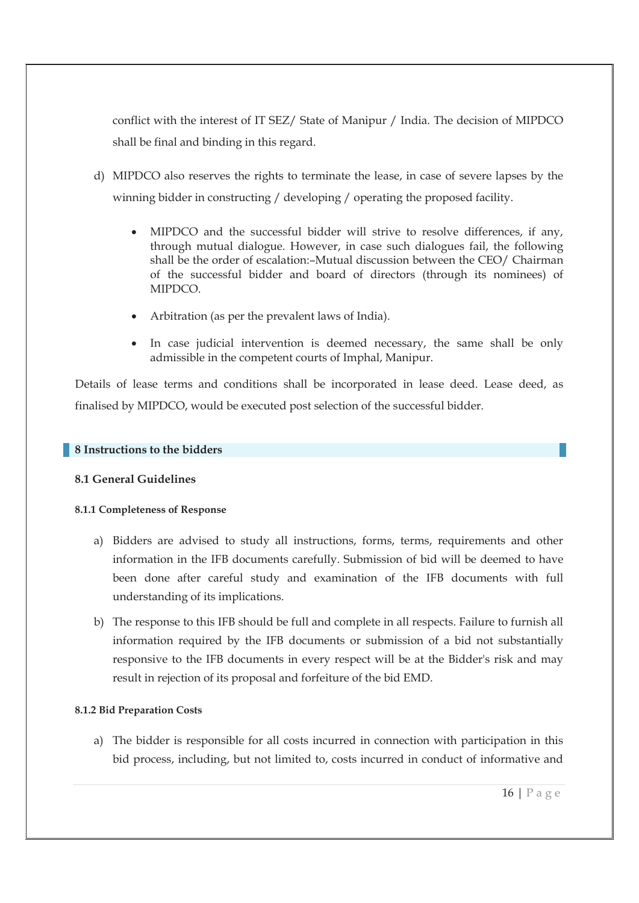conflict with the interest of IT SEZ/ State of Manipur / India. The decision of MIPDCO shall be final and binding in this regard.

- d) MIPDCO also reserves the rights to terminate the lease, in case of severe lapses by the winning bidder in constructing / developing / operating the proposed facility.
	- · MIPDCO and the successful bidder will strive to resolve differences, if any, through mutual dialogue. However, in case such dialogues fail, the following shall be the order of escalation:–Mutual discussion between the CEO/ Chairman of the successful bidder and board of directors (through its nominees) of MIPDCO.
	- · Arbitration (as per the prevalent laws of India).
	- · In case judicial intervention is deemed necessary, the same shall be only admissible in the competent courts of Imphal, Manipur.

Details of lease terms and conditions shall be incorporated in lease deed. Lease deed, as finalised by MIPDCO, would be executed post selection of the successful bidder.

#### **8 Instructions to the bidders**

### **8.1 General Guidelines**

#### **8.1.1 Completeness of Response**

- a) Bidders are advised to study all instructions, forms, terms, requirements and other information in the IFB documents carefully. Submission of bid will be deemed to have been done after careful study and examination of the IFB documents with full understanding of its implications.
- b) The response to this IFB should be full and complete in all respects. Failure to furnish all information required by the IFB documents or submission of a bid not substantially responsive to the IFB documents in every respect will be at the Bidder's risk and may result in rejection of its proposal and forfeiture of the bid EMD.

### **8.1.2 Bid Preparation Costs**

a) The bidder is responsible for all costs incurred in connection with participation in this bid process, including, but not limited to, costs incurred in conduct of informative and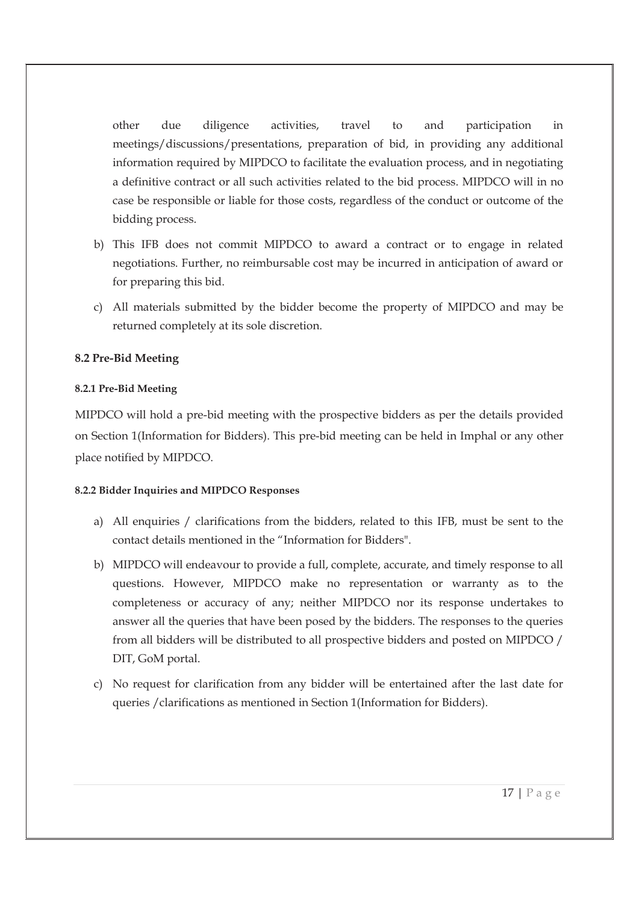other due diligence activities, travel to and participation in meetings/discussions/presentations, preparation of bid, in providing any additional information required by MIPDCO to facilitate the evaluation process, and in negotiating a definitive contract or all such activities related to the bid process. MIPDCO will in no case be responsible or liable for those costs, regardless of the conduct or outcome of the bidding process.

- b) This IFB does not commit MIPDCO to award a contract or to engage in related negotiations. Further, no reimbursable cost may be incurred in anticipation of award or for preparing this bid.
- c) All materials submitted by the bidder become the property of MIPDCO and may be returned completely at its sole discretion.

### **8.2 Pre-Bid Meeting**

#### **8.2.1 Pre-Bid Meeting**

MIPDCO will hold a pre-bid meeting with the prospective bidders as per the details provided on Section 1(Information for Bidders). This pre-bid meeting can be held in Imphal or any other place notified by MIPDCO.

### **8.2.2 Bidder Inquiries and MIPDCO Responses**

- a) All enquiries / clarifications from the bidders, related to this IFB, must be sent to the contact details mentioned in the "Information for Bidders".
- b) MIPDCO will endeavour to provide a full, complete, accurate, and timely response to all questions. However, MIPDCO make no representation or warranty as to the completeness or accuracy of any; neither MIPDCO nor its response undertakes to answer all the queries that have been posed by the bidders. The responses to the queries from all bidders will be distributed to all prospective bidders and posted on MIPDCO / DIT, GoM portal.
- c) No request for clarification from any bidder will be entertained after the last date for queries /clarifications as mentioned in Section 1(Information for Bidders).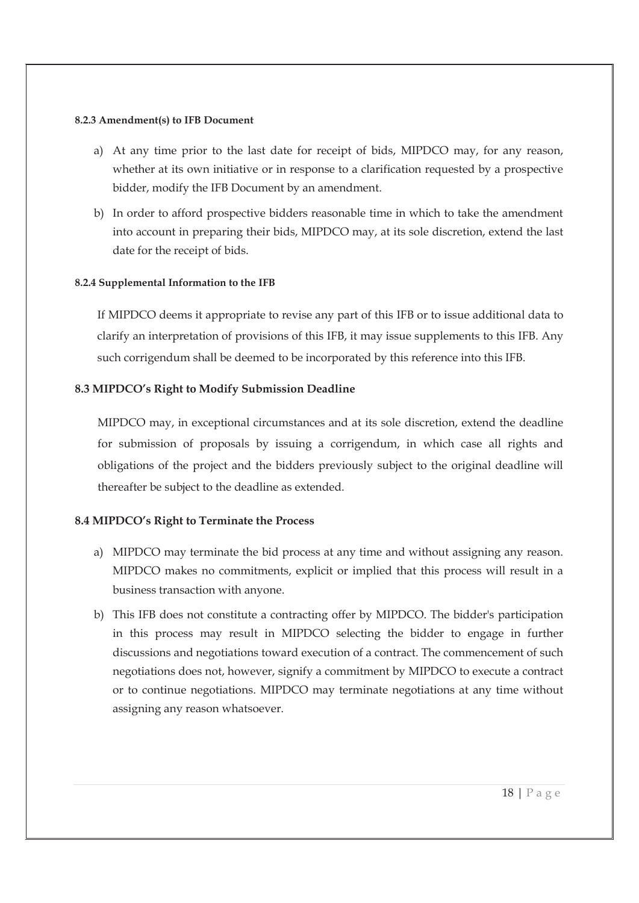#### **8.2.3 Amendment(s) to IFB Document**

- a) At any time prior to the last date for receipt of bids, MIPDCO may, for any reason, whether at its own initiative or in response to a clarification requested by a prospective bidder, modify the IFB Document by an amendment.
- b) In order to afford prospective bidders reasonable time in which to take the amendment into account in preparing their bids, MIPDCO may, at its sole discretion, extend the last date for the receipt of bids.

## **8.2.4 Supplemental Information to the IFB**

If MIPDCO deems it appropriate to revise any part of this IFB or to issue additional data to clarify an interpretation of provisions of this IFB, it may issue supplements to this IFB. Any such corrigendum shall be deemed to be incorporated by this reference into this IFB.

## **8.3 MIPDCO's Right to Modify Submission Deadline**

MIPDCO may, in exceptional circumstances and at its sole discretion, extend the deadline for submission of proposals by issuing a corrigendum, in which case all rights and obligations of the project and the bidders previously subject to the original deadline will thereafter be subject to the deadline as extended.

## **8.4 MIPDCO's Right to Terminate the Process**

- a) MIPDCO may terminate the bid process at any time and without assigning any reason. MIPDCO makes no commitments, explicit or implied that this process will result in a business transaction with anyone.
- b) This IFB does not constitute a contracting offer by MIPDCO. The bidder's participation in this process may result in MIPDCO selecting the bidder to engage in further discussions and negotiations toward execution of a contract. The commencement of such negotiations does not, however, signify a commitment by MIPDCO to execute a contract or to continue negotiations. MIPDCO may terminate negotiations at any time without assigning any reason whatsoever.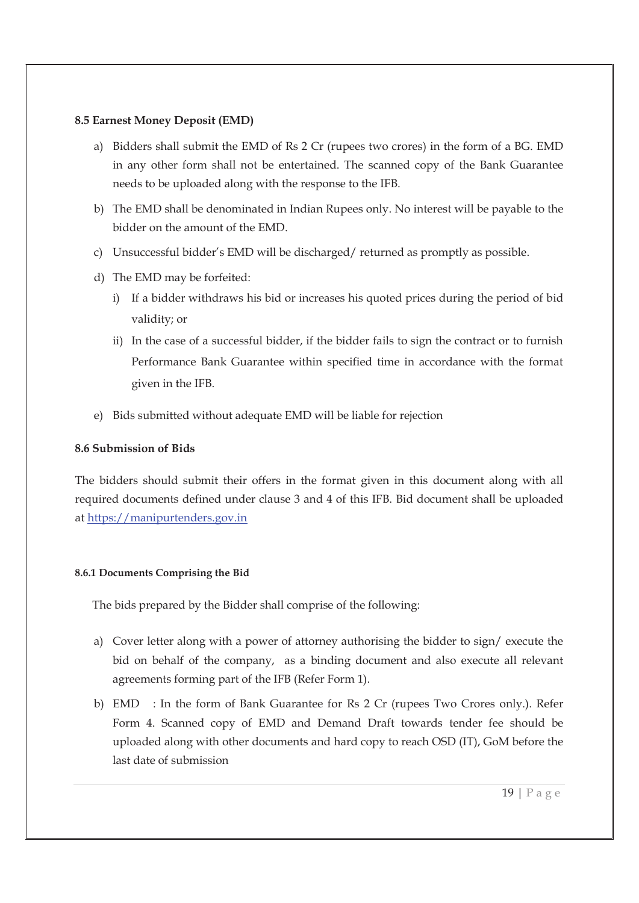### **8.5 Earnest Money Deposit (EMD)**

- a) Bidders shall submit the EMD of Rs 2 Cr (rupees two crores) in the form of a BG. EMD in any other form shall not be entertained. The scanned copy of the Bank Guarantee needs to be uploaded along with the response to the IFB.
- b) The EMD shall be denominated in Indian Rupees only. No interest will be payable to the bidder on the amount of the EMD.
- c) Unsuccessful bidder's EMD will be discharged/ returned as promptly as possible.
- d) The EMD may be forfeited:
	- i) If a bidder withdraws his bid or increases his quoted prices during the period of bid validity; or
	- ii) In the case of a successful bidder, if the bidder fails to sign the contract or to furnish Performance Bank Guarantee within specified time in accordance with the format given in the IFB.
- e) Bids submitted without adequate EMD will be liable for rejection

### **8.6 Submission of Bids**

The bidders should submit their offers in the format given in this document along with all required documents defined under clause 3 and 4 of this IFB. Bid document shall be uploaded at https://manipurtenders.gov.in

#### **8.6.1 Documents Comprising the Bid**

The bids prepared by the Bidder shall comprise of the following:

- a) Cover letter along with a power of attorney authorising the bidder to sign/ execute the bid on behalf of the company, as a binding document and also execute all relevant agreements forming part of the IFB (Refer Form 1).
- b) EMD : In the form of Bank Guarantee for Rs 2 Cr (rupees Two Crores only.). Refer Form 4. Scanned copy of EMD and Demand Draft towards tender fee should be uploaded along with other documents and hard copy to reach OSD (IT), GoM before the last date of submission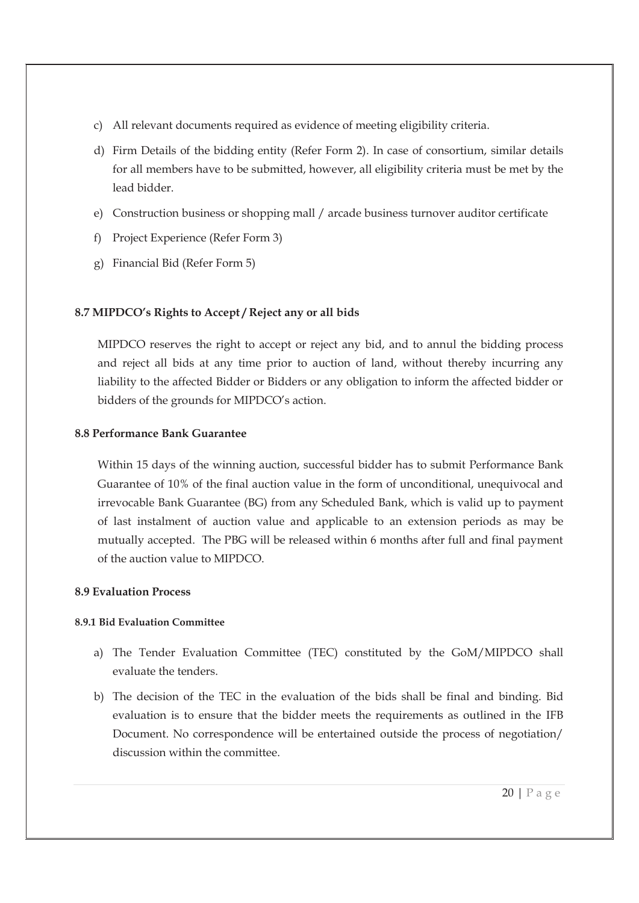- c) All relevant documents required as evidence of meeting eligibility criteria.
- d) Firm Details of the bidding entity (Refer Form 2). In case of consortium, similar details for all members have to be submitted, however, all eligibility criteria must be met by the lead bidder.
- e) Construction business or shopping mall / arcade business turnover auditor certificate
- f) Project Experience (Refer Form 3)
- g) Financial Bid (Refer Form 5)

## **8.7 MIPDCO's Rights to Accept / Reject any or all bids**

MIPDCO reserves the right to accept or reject any bid, and to annul the bidding process and reject all bids at any time prior to auction of land, without thereby incurring any liability to the affected Bidder or Bidders or any obligation to inform the affected bidder or bidders of the grounds for MIPDCO's action.

### **8.8 Performance Bank Guarantee**

Within 15 days of the winning auction, successful bidder has to submit Performance Bank Guarantee of 10% of the final auction value in the form of unconditional, unequivocal and irrevocable Bank Guarantee (BG) from any Scheduled Bank, which is valid up to payment of last instalment of auction value and applicable to an extension periods as may be mutually accepted. The PBG will be released within 6 months after full and final payment of the auction value to MIPDCO.

### **8.9 Evaluation Process**

### **8.9.1 Bid Evaluation Committee**

- a) The Tender Evaluation Committee (TEC) constituted by the GoM/MIPDCO shall evaluate the tenders.
- b) The decision of the TEC in the evaluation of the bids shall be final and binding. Bid evaluation is to ensure that the bidder meets the requirements as outlined in the IFB Document. No correspondence will be entertained outside the process of negotiation/ discussion within the committee.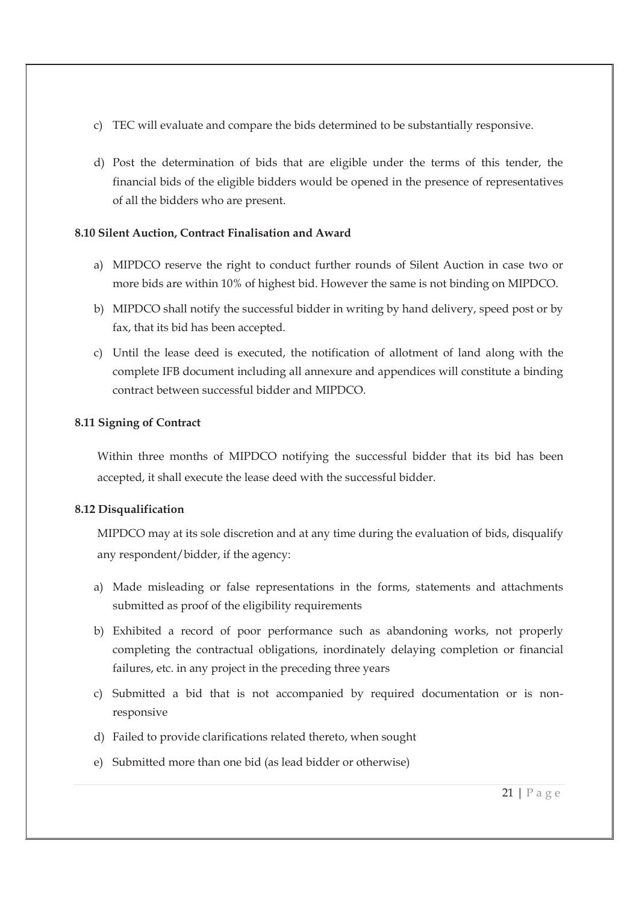- c) TEC will evaluate and compare the bids determined to be substantially responsive.
- d) Post the determination of bids that are eligible under the terms of this tender, the financial bids of the eligible bidders would be opened in the presence of representatives of all the bidders who are present.

### **8.10 Silent Auction, Contract Finalisation and Award**

- a) MIPDCO reserve the right to conduct further rounds of Silent Auction in case two or more bids are within 10% of highest bid. However the same is not binding on MIPDCO.
- b) MIPDCO shall notify the successful bidder in writing by hand delivery, speed post or by fax, that its bid has been accepted.
- c) Until the lease deed is executed, the notification of allotment of land along with the complete IFB document including all annexure and appendices will constitute a binding contract between successful bidder and MIPDCO.

## **8.11 Signing of Contract**

Within three months of MIPDCO notifying the successful bidder that its bid has been accepted, it shall execute the lease deed with the successful bidder.

## **8.12 Disqualification**

MIPDCO may at its sole discretion and at any time during the evaluation of bids, disqualify any respondent/bidder, if the agency:

- a) Made misleading or false representations in the forms, statements and attachments submitted as proof of the eligibility requirements
- b) Exhibited a record of poor performance such as abandoning works, not properly completing the contractual obligations, inordinately delaying completion or financial failures, etc. in any project in the preceding three years
- c) Submitted a bid that is not accompanied by required documentation or is nonresponsive
- d) Failed to provide clarifications related thereto, when sought
- e) Submitted more than one bid (as lead bidder or otherwise)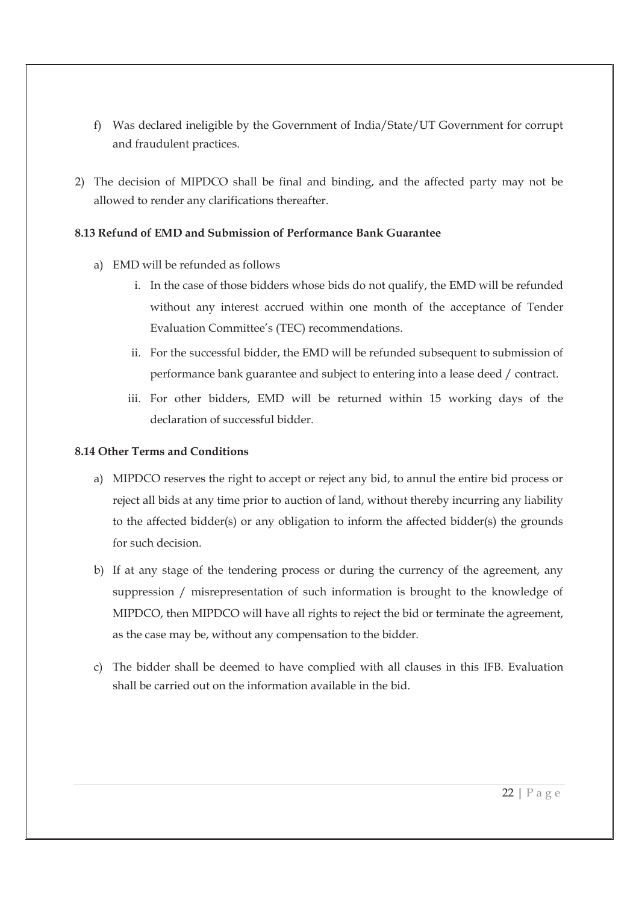- f) Was declared ineligible by the Government of India/State/UT Government for corrupt and fraudulent practices.
- 2) The decision of MIPDCO shall be final and binding, and the affected party may not be allowed to render any clarifications thereafter.

## **8.13 Refund of EMD and Submission of Performance Bank Guarantee**

- a) EMD will be refunded as follows
	- i. In the case of those bidders whose bids do not qualify, the EMD will be refunded without any interest accrued within one month of the acceptance of Tender Evaluation Committee's (TEC) recommendations.
	- ii. For the successful bidder, the EMD will be refunded subsequent to submission of performance bank guarantee and subject to entering into a lease deed / contract.
	- iii. For other bidders, EMD will be returned within 15 working days of the declaration of successful bidder.

## **8.14 Other Terms and Conditions**

- a) MIPDCO reserves the right to accept or reject any bid, to annul the entire bid process or reject all bids at any time prior to auction of land, without thereby incurring any liability to the affected bidder(s) or any obligation to inform the affected bidder(s) the grounds for such decision.
- b) If at any stage of the tendering process or during the currency of the agreement, any suppression / misrepresentation of such information is brought to the knowledge of MIPDCO, then MIPDCO will have all rights to reject the bid or terminate the agreement, as the case may be, without any compensation to the bidder.
- c) The bidder shall be deemed to have complied with all clauses in this IFB. Evaluation shall be carried out on the information available in the bid.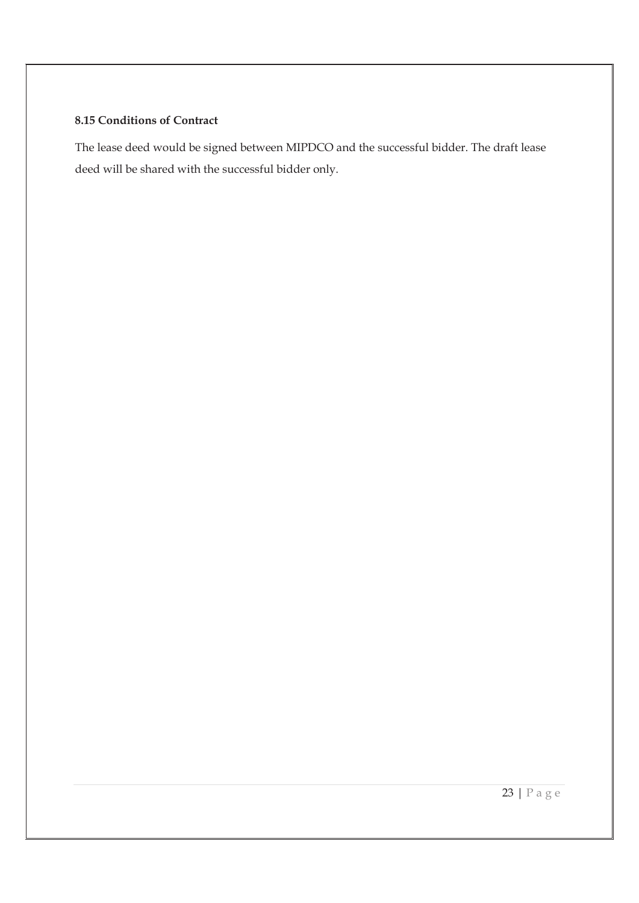### **8.15 Conditions of Contract**

The lease deed would be signed between MIPDCO and the successful bidder. The draft lease deed will be shared with the successful bidder only.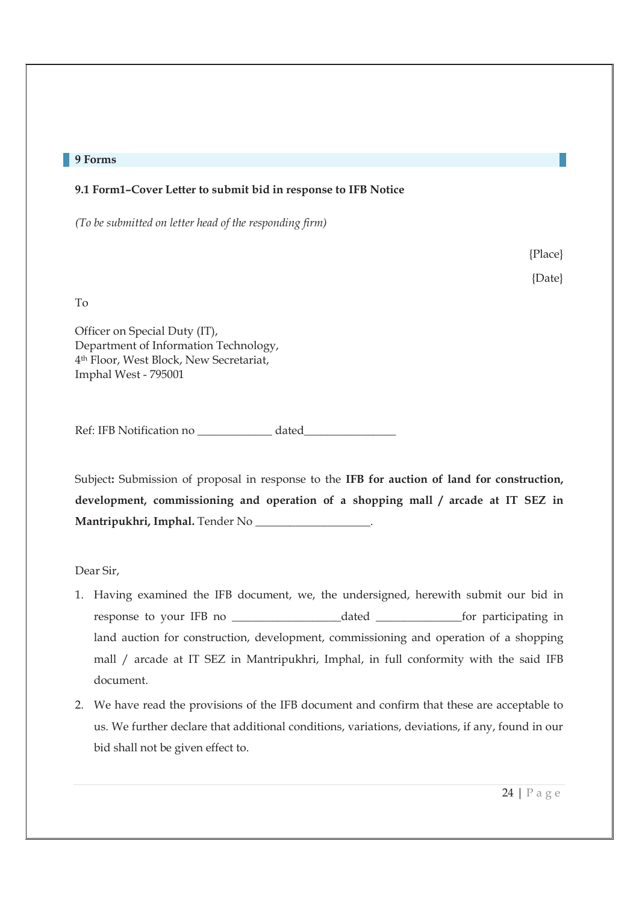#### **9 Forms**

#### **9.1 Form1–Cover Letter to submit bid in response to IFB Notice**

*(To be submitted on letter head of the responding firm)* 

{Place} {Date}

To

Officer on Special Duty (IT), Department of Information Technology, 4th Floor, West Block, New Secretariat, Imphal West - 795001

Ref: IFB Notification no dated

Subject**:** Submission of proposal in response to the **IFB for auction of land for construction, development, commissioning and operation of a shopping mall / arcade at IT SEZ in Mantripukhri, Imphal.** Tender No \_\_\_\_\_\_\_\_\_\_\_\_\_\_\_\_\_\_\_\_.

Dear Sir,

- 1. Having examined the IFB document, we, the undersigned, herewith submit our bid in response to your IFB no \_\_\_\_\_\_\_\_\_\_\_\_\_\_\_\_\_\_\_dated \_\_\_\_\_\_\_\_\_\_\_\_\_\_\_for participating in land auction for construction, development, commissioning and operation of a shopping mall / arcade at IT SEZ in Mantripukhri, Imphal, in full conformity with the said IFB document.
- 2. We have read the provisions of the IFB document and confirm that these are acceptable to us. We further declare that additional conditions, variations, deviations, if any, found in our bid shall not be given effect to.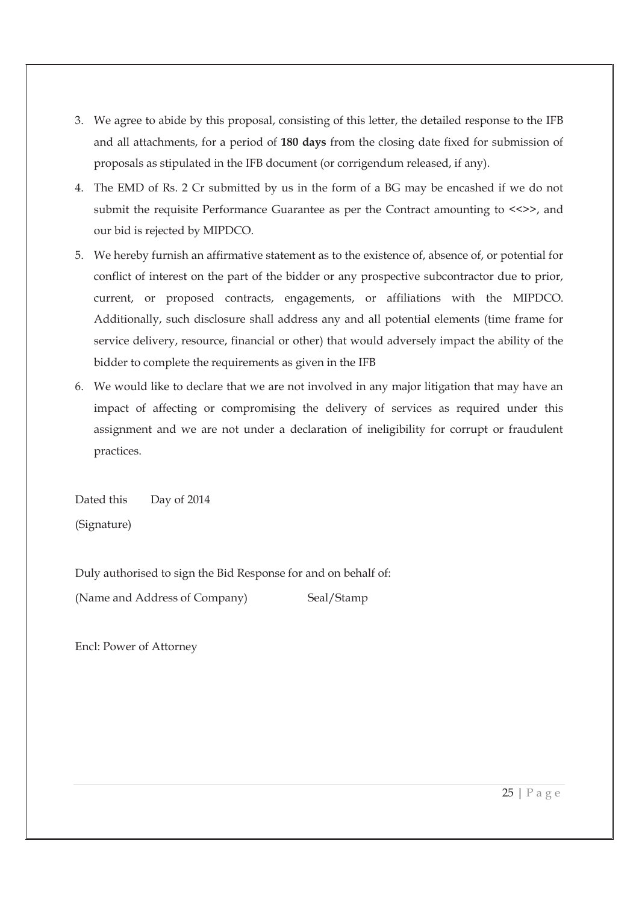- 3. We agree to abide by this proposal, consisting of this letter, the detailed response to the IFB and all attachments, for a period of **180 days** from the closing date fixed for submission of proposals as stipulated in the IFB document (or corrigendum released, if any).
- 4. The EMD of Rs. 2 Cr submitted by us in the form of a BG may be encashed if we do not submit the requisite Performance Guarantee as per the Contract amounting to  $\langle \rangle$ , and our bid is rejected by MIPDCO.
- 5. We hereby furnish an affirmative statement as to the existence of, absence of, or potential for conflict of interest on the part of the bidder or any prospective subcontractor due to prior, current, or proposed contracts, engagements, or affiliations with the MIPDCO. Additionally, such disclosure shall address any and all potential elements (time frame for service delivery, resource, financial or other) that would adversely impact the ability of the bidder to complete the requirements as given in the IFB
- 6. We would like to declare that we are not involved in any major litigation that may have an impact of affecting or compromising the delivery of services as required under this assignment and we are not under a declaration of ineligibility for corrupt or fraudulent practices.

Dated this Day of 2014 (Signature)

Duly authorised to sign the Bid Response for and on behalf of: (Name and Address of Company) Seal/Stamp

Encl: Power of Attorney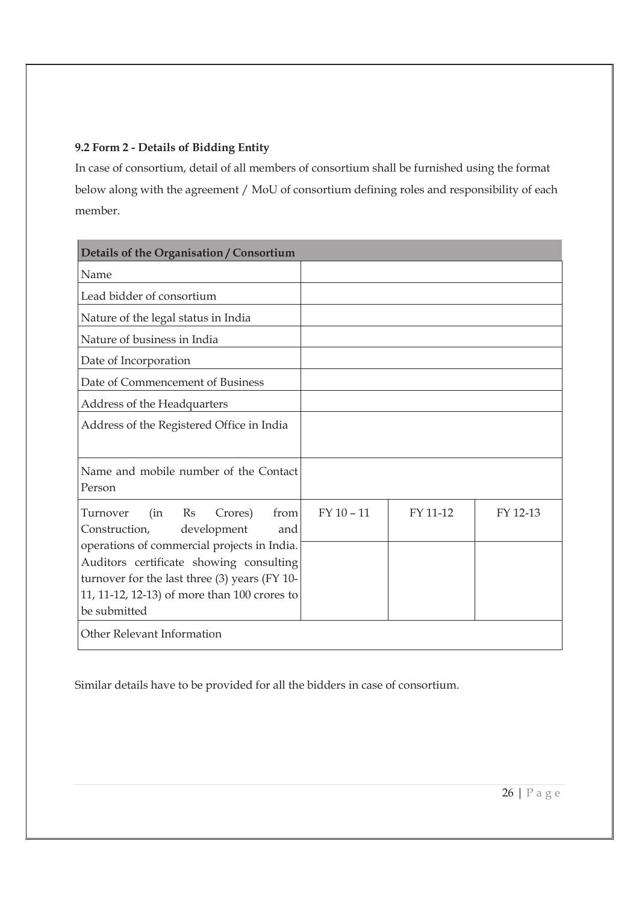## **9.2 Form 2 - Details of Bidding Entity**

In case of consortium, detail of all members of consortium shall be furnished using the format below along with the agreement / MoU of consortium defining roles and responsibility of each member.

| Details of the Organisation / Consortium                                                 |              |          |          |
|------------------------------------------------------------------------------------------|--------------|----------|----------|
| Name                                                                                     |              |          |          |
| Lead bidder of consortium                                                                |              |          |          |
| Nature of the legal status in India                                                      |              |          |          |
| Nature of business in India                                                              |              |          |          |
| Date of Incorporation                                                                    |              |          |          |
| Date of Commencement of Business                                                         |              |          |          |
| Address of the Headquarters                                                              |              |          |          |
| Address of the Registered Office in India                                                |              |          |          |
| Name and mobile number of the Contact<br>Person                                          |              |          |          |
| Turnover<br>(in<br>Rs<br>Crores)<br>from<br>development<br>Construction,<br>and          | $FY$ 10 - 11 | FY 11-12 | FY 12-13 |
| operations of commercial projects in India.                                              |              |          |          |
| Auditors certificate showing consulting<br>turnover for the last three (3) years (FY 10- |              |          |          |
| 11, 11-12, 12-13) of more than 100 crores to                                             |              |          |          |
| be submitted                                                                             |              |          |          |
| Other Relevant Information                                                               |              |          |          |

Similar details have to be provided for all the bidders in case of consortium.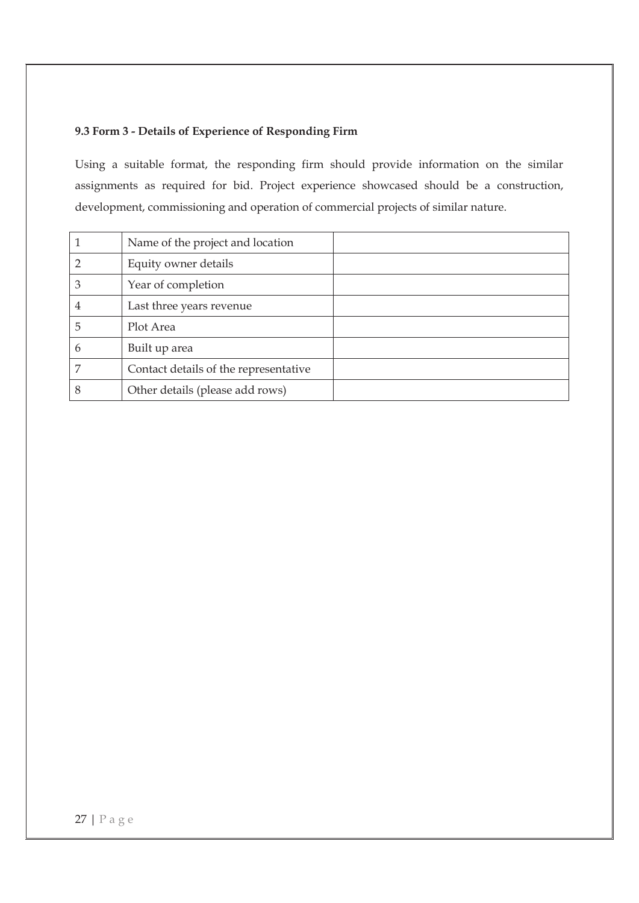## **9.3 Form 3 - Details of Experience of Responding Firm**

Using a suitable format, the responding firm should provide information on the similar assignments as required for bid. Project experience showcased should be a construction, development, commissioning and operation of commercial projects of similar nature.

|   | Name of the project and location      |
|---|---------------------------------------|
|   | Equity owner details                  |
| 3 | Year of completion                    |
| 4 | Last three years revenue              |
| 5 | Plot Area                             |
| 6 | Built up area                         |
|   | Contact details of the representative |
| 8 | Other details (please add rows)       |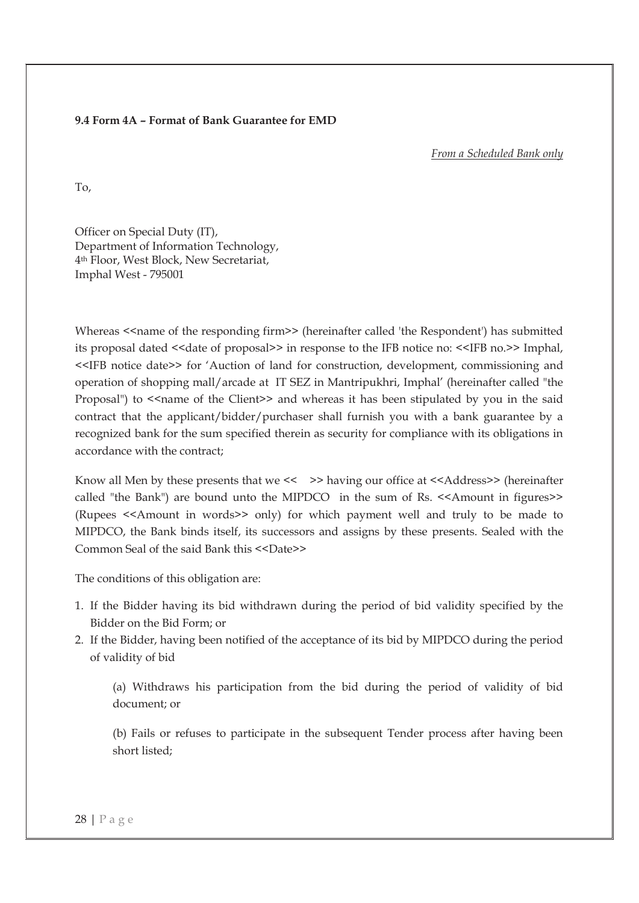#### **9.4 Form 4A – Format of Bank Guarantee for EMD**

*From a Scheduled Bank only* 

To,

Officer on Special Duty (IT), Department of Information Technology, 4th Floor, West Block, New Secretariat, Imphal West - 795001

Whereas <<name of the responding firm>> (hereinafter called 'the Respondent') has submitted its proposal dated << date of proposal>> in response to the IFB notice no: <<IFB no.>> Imphal, <<IFB notice date>> for 'Auction of land for construction, development, commissioning and operation of shopping mall/arcade at IT SEZ in Mantripukhri, Imphal' (hereinafter called "the Proposal") to <<name of the Client>> and whereas it has been stipulated by you in the said contract that the applicant/bidder/purchaser shall furnish you with a bank guarantee by a recognized bank for the sum specified therein as security for compliance with its obligations in accordance with the contract;

Know all Men by these presents that we  $\langle \rangle$  >> having our office at  $\langle \rangle$ Address>> (hereinafter called "the Bank") are bound unto the MIPDCO in the sum of Rs. <<Amount in figures>> (Rupees <<Amount in words>> only) for which payment well and truly to be made to MIPDCO, the Bank binds itself, its successors and assigns by these presents. Sealed with the Common Seal of the said Bank this  $\langle$  <Date>>

The conditions of this obligation are:

- 1. If the Bidder having its bid withdrawn during the period of bid validity specified by the Bidder on the Bid Form; or
- 2. If the Bidder, having been notified of the acceptance of its bid by MIPDCO during the period of validity of bid

(a) Withdraws his participation from the bid during the period of validity of bid document; or

(b) Fails or refuses to participate in the subsequent Tender process after having been short listed;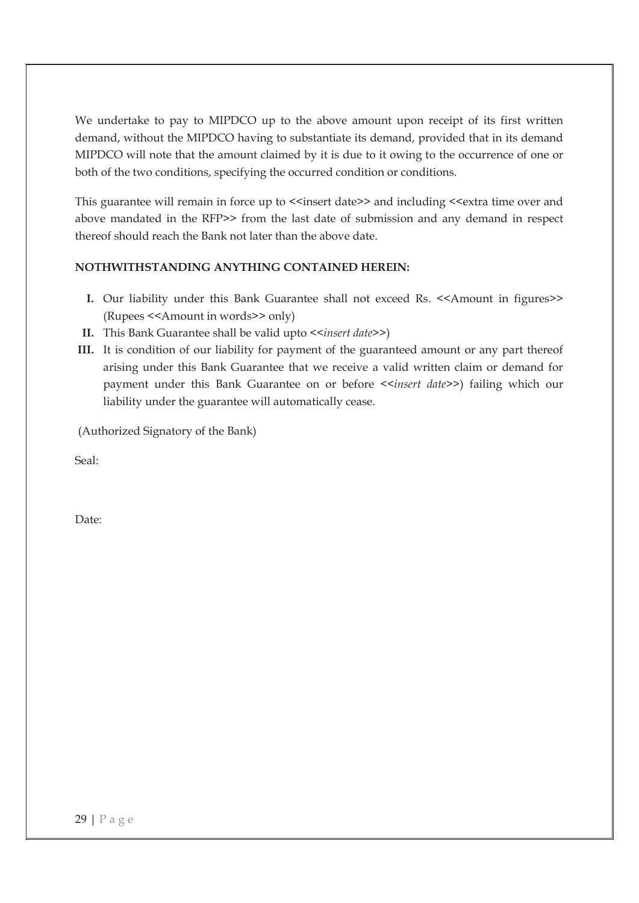We undertake to pay to MIPDCO up to the above amount upon receipt of its first written demand, without the MIPDCO having to substantiate its demand, provided that in its demand MIPDCO will note that the amount claimed by it is due to it owing to the occurrence of one or both of the two conditions, specifying the occurred condition or conditions.

This guarantee will remain in force up to <<insert date>> and including <<extra time over and above mandated in the RFP>> from the last date of submission and any demand in respect thereof should reach the Bank not later than the above date.

### **NOTHWITHSTANDING ANYTHING CONTAINED HEREIN:**

- **I.** Our liability under this Bank Guarantee shall not exceed Rs. <<Amount in figures>> (Rupees <<Amount in words>> only)
- **II.** This Bank Guarantee shall be valid upto *<<insert date>>*)
- **III.** It is condition of our liability for payment of the guaranteed amount or any part thereof arising under this Bank Guarantee that we receive a valid written claim or demand for payment under this Bank Guarantee on or before <<*insert date>>*) failing which our liability under the guarantee will automatically cease.

(Authorized Signatory of the Bank)

Seal:

Date: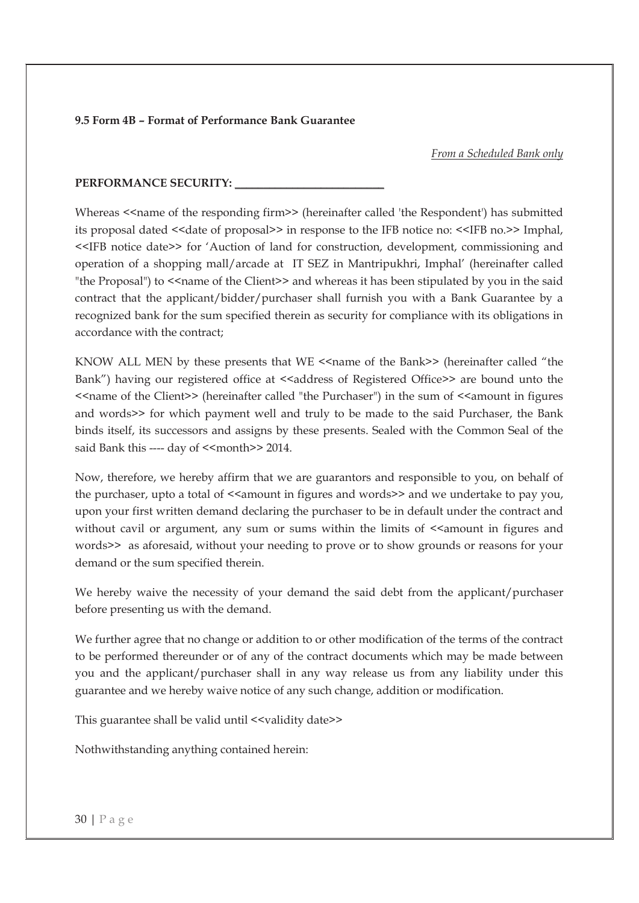#### **9.5 Form 4B – Format of Performance Bank Guarantee**

*From a Scheduled Bank only* 

#### PERFORMANCE SECURITY:

Whereas <<name of the responding firm>> (hereinafter called 'the Respondent') has submitted its proposal dated <<date of proposal>> in response to the IFB notice no: <<IFB no.>> Imphal, <<IFB notice date>> for 'Auction of land for construction, development, commissioning and operation of a shopping mall/arcade at IT SEZ in Mantripukhri, Imphal' (hereinafter called "the Proposal") to <<name of the Client>> and whereas it has been stipulated by you in the said contract that the applicant/bidder/purchaser shall furnish you with a Bank Guarantee by a recognized bank for the sum specified therein as security for compliance with its obligations in accordance with the contract;

KNOW ALL MEN by these presents that WE <<name of the Bank>> (hereinafter called "the Bank") having our registered office at <<address of Registered Office>> are bound unto the <<name of the Client>> (hereinafter called "the Purchaser") in the sum of <<amount in figures and words>> for which payment well and truly to be made to the said Purchaser, the Bank binds itself, its successors and assigns by these presents. Sealed with the Common Seal of the said Bank this ---- day of <<month>> 2014.

Now, therefore, we hereby affirm that we are guarantors and responsible to you, on behalf of the purchaser, upto a total of << amount in figures and words>> and we undertake to pay you, upon your first written demand declaring the purchaser to be in default under the contract and without cavil or argument, any sum or sums within the limits of  $\leq$  amount in figures and words>> as aforesaid, without your needing to prove or to show grounds or reasons for your demand or the sum specified therein.

We hereby waive the necessity of your demand the said debt from the applicant/purchaser before presenting us with the demand.

We further agree that no change or addition to or other modification of the terms of the contract to be performed thereunder or of any of the contract documents which may be made between you and the applicant/purchaser shall in any way release us from any liability under this guarantee and we hereby waive notice of any such change, addition or modification.

This guarantee shall be valid until <<validity date>>

Nothwithstanding anything contained herein: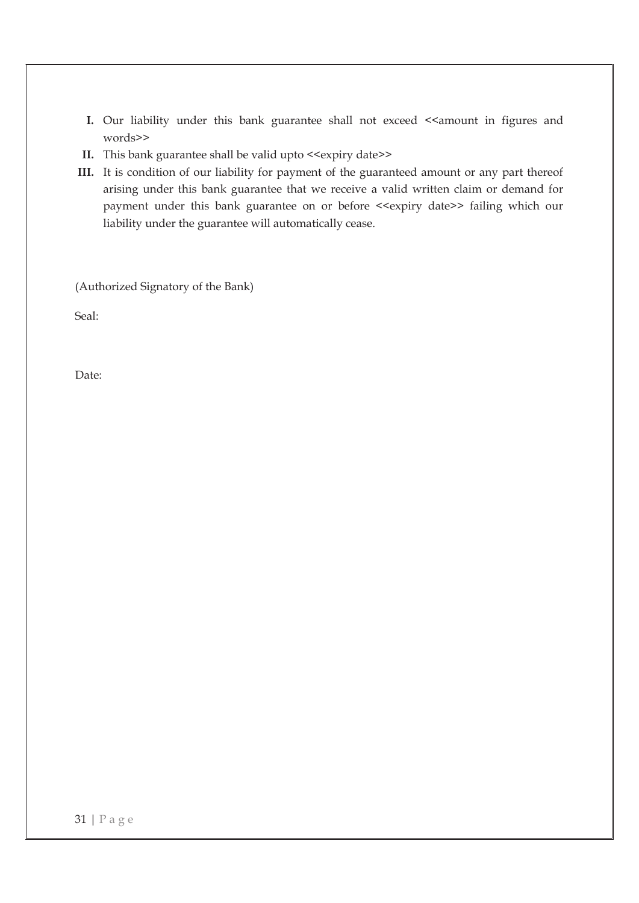- **I.** Our liability under this bank guarantee shall not exceed << amount in figures and words>>
- **II.** This bank guarantee shall be valid upto <<expiry date>>
- **III.** It is condition of our liability for payment of the guaranteed amount or any part thereof arising under this bank guarantee that we receive a valid written claim or demand for payment under this bank guarantee on or before <<expiry date>> failing which our liability under the guarantee will automatically cease.

(Authorized Signatory of the Bank)

Seal:

Date: